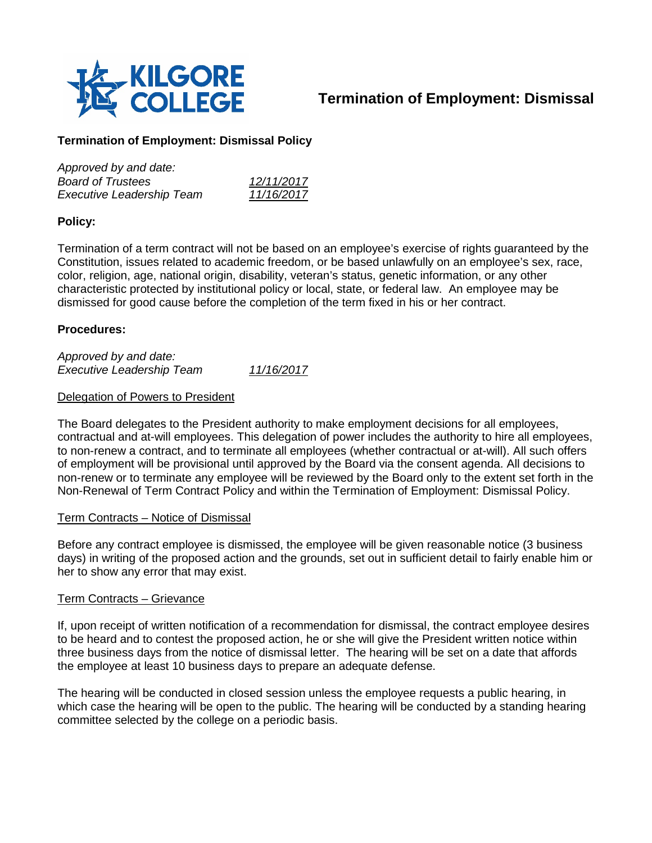

# **Termination of Employment: Dismissal**

## **Termination of Employment: Dismissal Policy**

| Approved by and date:            |            |
|----------------------------------|------------|
| <b>Board of Trustees</b>         | 12/11/2017 |
| <b>Executive Leadership Team</b> | 11/16/2017 |

## **Policy:**

Termination of a term contract will not be based on an employee's exercise of rights guaranteed by the Constitution, issues related to academic freedom, or be based unlawfully on an employee's sex, race, color, religion, age, national origin, disability, veteran's status, genetic information, or any other characteristic protected by institutional policy or local, state, or federal law. An employee may be dismissed for good cause before the completion of the term fixed in his or her contract.

### **Procedures:**

*Approved by and date: Executive Leadership Team 11/16/2017*

#### Delegation of Powers to President

The Board delegates to the President authority to make employment decisions for all employees, contractual and at-will employees. This delegation of power includes the authority to hire all employees, to non-renew a contract, and to terminate all employees (whether contractual or at-will). All such offers of employment will be provisional until approved by the Board via the consent agenda. All decisions to non-renew or to terminate any employee will be reviewed by the Board only to the extent set forth in the Non-Renewal of Term Contract Policy and within the Termination of Employment: Dismissal Policy.

#### Term Contracts – Notice of Dismissal

Before any contract employee is dismissed, the employee will be given reasonable notice (3 business days) in writing of the proposed action and the grounds, set out in sufficient detail to fairly enable him or her to show any error that may exist.

#### Term Contracts – Grievance

If, upon receipt of written notification of a recommendation for dismissal, the contract employee desires to be heard and to contest the proposed action, he or she will give the President written notice within three business days from the notice of dismissal letter. The hearing will be set on a date that affords the employee at least 10 business days to prepare an adequate defense.

The hearing will be conducted in closed session unless the employee requests a public hearing, in which case the hearing will be open to the public. The hearing will be conducted by a standing hearing committee selected by the college on a periodic basis.